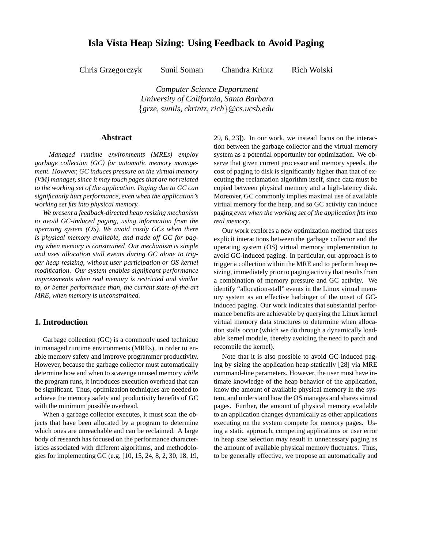# **Isla Vista Heap Sizing: Using Feedback to Avoid Paging**

Chris Grzegorczyk Sunil Soman Chandra Krintz Rich Wolski

*Computer Science Department University of California, Santa Barbara* {*grze, sunils, ckrintz, rich*}*@cs.ucsb.edu*

# **Abstract**

*Managed runtime environments (MREs) employ garbage collection (GC) for automatic memory management. However, GC induces pressure on the virtual memory (VM) manager, since it may touch pages that are not related to the working set of the application. Paging due to GC can significantly hurt performance, even when the application's working set fits into physical memory.*

*We present a feedback-directed heap resizing mechanism to avoid GC-induced paging, using information from the operating system (OS). We avoid costly GCs when there is physical memory available, and trade off GC for paging when memory is constrained Our mechanism is simple and uses allocation stall events during GC alone to trigger heap resizing, without user participation or OS kernel modification. Our system enables significant performance improvements when real memory is restricted and similar to, or better performance than, the current state-of-the-art MRE, when memory is unconstrained.*

### **1. Introduction**

Garbage collection (GC) is a commonly used technique in managed runtime environments (MREs), in order to enable memory safety and improve programmer productivity. However, because the garbage collector must automatically determine how and when to scavenge unused memory *while* the program runs, it introduces execution overhead that can be significant. Thus, optimization techniques are needed to achieve the memory safety and productivity benefits of GC with the minimum possible overhead.

When a garbage collector executes, it must scan the objects that have been allocated by a program to determine which ones are unreachable and can be reclaimed. A large body of research has focused on the performance characteristics associated with different algorithms, and methodologies for implementing GC (e.g. [10, 15, 24, 8, 2, 30, 18, 19, 29, 6, 23]). In our work, we instead focus on the interaction between the garbage collector and the virtual memory system as a potential opportunity for optimization. We observe that given current processor and memory speeds, the cost of paging to disk is significantly higher than that of executing the reclamation algorithm itself, since data must be copied between physical memory and a high-latency disk. Moreover, GC commonly implies maximal use of available virtual memory for the heap, and so GC activity can induce paging *even when the working set of the application fits into real memory*.

Our work explores a new optimization method that uses explicit interactions between the garbage collector and the operating system (OS) virtual memory implementation to avoid GC-induced paging. In particular, our approach is to trigger a collection within the MRE and to perform heap resizing, immediately prior to paging activity that results from a combination of memory pressure and GC activity. We identify "allocation-stall" events in the Linux virtual memory system as an effective harbinger of the onset of GCinduced paging. Our work indicates that substantial performance benefits are achievable by querying the Linux kernel virtual memory data structures to determine when allocation stalls occur (which we do through a dynamically loadable kernel module, thereby avoiding the need to patch and recompile the kernel).

Note that it is also possible to avoid GC-induced paging by sizing the application heap statically [28] via MRE command-line parameters. However, the user must have intimate knowledge of the heap behavior of the application, know the amount of available physical memory in the system, and understand how the OS manages and shares virtual pages. Further, the amount of physical memory available to an application changes dynamically as other applications executing on the system compete for memory pages. Using a static approach, competing applications or user error in heap size selection may result in unnecessary paging as the amount of available physical memory fluctuates. Thus, to be generally effective, we propose an automatically and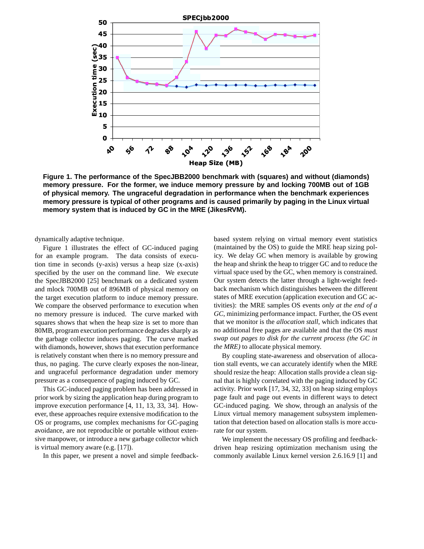

**Figure 1. The performance of the SpecJBB2000 benchmark with (squares) and without (diamonds) memory pressure. For the former, we induce memory pressure by and locking 700MB out of 1GB of physical memory. The ungraceful degradation in performance when the benchmark experiences memory pressure is typical of other programs and is caused primarily by paging in the Linux virtual memory system that is induced by GC in the MRE (JikesRVM).**

dynamically adaptive technique.

Figure 1 illustrates the effect of GC-induced paging for an example program. The data consists of execution time in seconds (y-axis) versus a heap size (x-axis) specified by the user on the command line. We execute the SpecJBB2000 [25] benchmark on a dedicated system and mlock 700MB out of 896MB of physical memory on the target execution platform to induce memory pressure. We compare the observed performance to execution when no memory pressure is induced. The curve marked with squares shows that when the heap size is set to more than 80MB, program execution performance degrades sharply as the garbage collector induces paging. The curve marked with diamonds, however, shows that execution performance is relatively constant when there is no memory pressure and thus, no paging. The curve clearly exposes the non-linear, and ungraceful performance degradation under memory pressure as a consequence of paging induced by GC.

This GC-induced paging problem has been addressed in prior work by sizing the application heap during program to improve execution performance [4, 11, 13, 33, 34]. However, these approaches require extensive modification to the OS or programs, use complex mechanisms for GC-paging avoidance, are not reproducible or portable without extensive manpower, or introduce a new garbage collector which is virtual memory aware (e.g. [17]).

In this paper, we present a novel and simple feedback-

based system relying on virtual memory event statistics (maintained by the OS) to guide the MRE heap sizing policy. We delay GC when memory is available by growing the heap and shrink the heap to trigger GC and to reduce the virtual space used by the GC, when memory is constrained. Our system detects the latter through a light-weight feedback mechanism which distinguishes between the different states of MRE execution (application execution and GC activities): the MRE samples OS events *only at the end of a GC*, minimizing performance impact. Further, the OS event that we monitor is the *allocation stall*, which indicates that no additional free pages are available and that the OS *must swap out pages to disk for the current process (the GC in the MRE)* to allocate physical memory.

By coupling state-awareness and observation of allocation stall events, we can accurately identify when the MRE should resize the heap: Allocation stalls provide a clean signal that is highly correlated with the paging induced by GC activity. Prior work [17, 34, 32, 33] on heap sizing employs page fault and page out events in different ways to detect GC-induced paging. We show, through an analysis of the Linux virtual memory management subsystem implementation that detection based on allocation stalls is more accurate for our system.

We implement the necessary OS profiling and feedbackdriven heap resizing optimization mechanism using the commonly available Linux kernel version 2.6.16.9 [1] and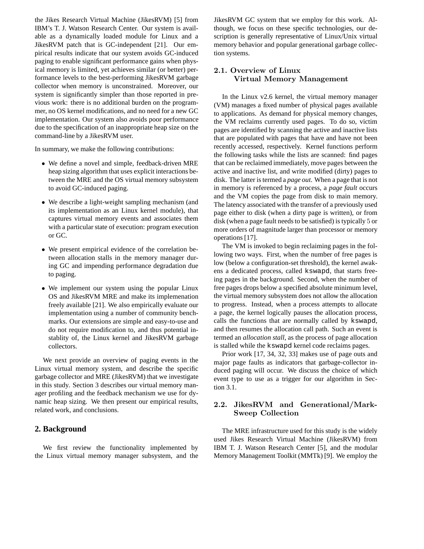the Jikes Research Virtual Machine (JikesRVM) [5] from IBM's T. J. Watson Research Center. Our system is available as a dynamically loaded module for Linux and a JikesRVM patch that is GC-independent [21]. Our empirical results indicate that our system avoids GC-induced paging to enable significant performance gains when physical memory is limited, yet achieves similar (or better) performance levels to the best-performing JikesRVM garbage collector when memory is unconstrained. Moreover, our system is significantly simpler than those reported in previous work: there is no additional burden on the programmer, no OS kernel modifications, and no need for a new GC implementation. Our system also avoids poor performance due to the specification of an inappropriate heap size on the command-line by a JikesRVM user.

In summary, we make the following contributions:

- We define a novel and simple, feedback-driven MRE heap sizing algorithm that uses explicit interactions between the MRE and the OS virtual memory subsystem to avoid GC-induced paging.
- We describe a light-weight sampling mechanism (and its implementation as an Linux kernel module), that captures virtual memory events and associates them with a particular state of execution: program execution or GC.
- We present empirical evidence of the correlation between allocation stalls in the memory manager during GC and impending performance degradation due to paging.
- We implement our system using the popular Linux OS and JikesRVM MRE and make its implemenation freely available [21]. We also empirically evaluate our implementation using a number of community benchmarks. Our extensions are simple and easy-to-use and do not require modification to, and thus potential instablity of, the Linux kernel and JikesRVM garbage collectors.

We next provide an overview of paging events in the Linux virtual memory system, and describe the specific garbage collector and MRE (JikesRVM) that we investigate in this study. Section 3 describes our virtual memory manager profiling and the feedback mechanism we use for dynamic heap sizing. We then present our empirical results, related work, and conclusions.

# **2. Background**

We first review the functionality implemented by the Linux virtual memory manager subsystem, and the

JikesRVM GC system that we employ for this work. Although, we focus on these specific technologies, our description is generally representative of Linux/Unix virtual memory behavior and popular generational garbage collection systems.

# 2.1. Overview of Linux Virtual Memory Management

In the Linux v2.6 kernel, the virtual memory manager (VM) manages a fixed number of physical pages available to applications. As demand for physical memory changes, the VM reclaims currently used pages. To do so, victim pages are identified by scanning the active and inactive lists that are populated with pages that have and have not been recently accessed, respectively. Kernel functions perform the following tasks while the lists are scanned: find pages that can be reclaimed immediately, move pages between the active and inactive list, and write modified (dirty) pages to disk. The latter is termed a *page out*. When a page that is not in memory is referenced by a process, a *page fault* occurs and the VM copies the page from disk to main memory. The latency associated with the transfer of a previously used page either to disk (when a dirty page is written), or from disk (when a page fault needs to be satisfied) is typically 5 or more orders of magnitude larger than processor or memory operations [17].

The VM is invoked to begin reclaiming pages in the following two ways. First, when the number of free pages is low (below a configuration-set threshold), the kernel awakens a dedicated process, called kswapd, that starts freeing pages in the background. Second, when the number of free pages drops below a specified absolute minimum level, the virtual memory subsystem does not allow the allocation to progress. Instead, when a process attempts to allocate a page, the kernel logically pauses the allocation process, calls the functions that are normally called by kswapd, and then resumes the allocation call path. Such an event is termed an *allocation stall*, as the process of page allocation is stalled while the kswapd kernel code reclaims pages.

Prior work [17, 34, 32, 33] makes use of page outs and major page faults as indicators that garbage-collector induced paging will occur. We discuss the choice of which event type to use as a trigger for our algorithm in Section 3.1.

# 2.2. JikesRVM and Generational/Mark-Sweep Collection

The MRE infrastructure used for this study is the widely used Jikes Research Virtual Machine (JikesRVM) from IBM T. J. Watson Research Center [5], and the modular Memory Management Toolkit (MMTk) [9]. We employ the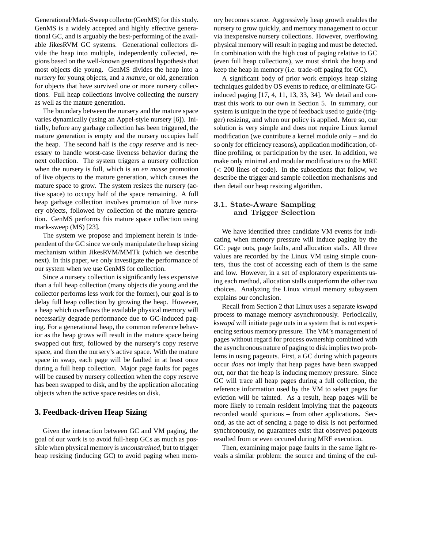Generational/Mark-Sweep collector(GenMS) for this study. GenMS is a widely accepted and highly effective generational GC, and is arguably the best-performing of the available JikesRVM GC systems. Generational collectors divide the heap into multiple, independently collected, regions based on the well-known generational hypothesis that most objects die young. GenMS divides the heap into a *nursery* for young objects, and a *mature*, or old, generation for objects that have survived one or more nursery collections. Full heap collections involve collecting the nursery as well as the mature generation.

The boundary between the nursery and the mature space varies dynamically (using an Appel-style nursery [6]). Initially, before any garbage collection has been triggered, the mature generation is empty and the nursery occupies half the heap. The second half is the *copy reserve* and is necessary to handle worst-case liveness behavior during the next collection. The system triggers a nursery collection when the nursery is full, which is an *en masse* promotion of live objects to the mature generation, which causes the mature space to grow. The system resizes the nursery (active space) to occupy half of the space remaining. A full heap garbage collection involves promotion of live nursery objects, followed by collection of the mature generation. GenMS performs this mature space collection using mark-sweep (MS) [23].

The system we propose and implement herein is independent of the GC since we only manipulate the heap sizing mechanism within JikesRVM/MMTk (which we describe next). In this paper, we only investigate the performance of our system when we use GenMS for collection.

Since a nursery collection is significantly less expensive than a full heap collection (many objects die young and the collector performs less work for the former), our goal is to delay full heap collection by growing the heap. However, a heap which overflows the available physical memory will necessarily degrade performance due to GC-induced paging. For a generational heap, the common reference behavior as the heap grows will result in the mature space being swapped out first, followed by the nursery's copy reserve space, and then the nursery's active space. With the mature space in swap, each page will be faulted in at least once during a full heap collection. Major page faults for pages will be caused by nursery collection when the copy reserve has been swapped to disk, and by the application allocating objects when the active space resides on disk.

# **3. Feedback-driven Heap Sizing**

Given the interaction between GC and VM paging, the goal of our work is to avoid full-heap GCs as much as possible when physical memory is *unconstrained*, but to trigger heap resizing (inducing GC) to avoid paging when memory becomes scarce. Aggressively heap growth enables the nursery to grow quickly, and memory management to occur via inexpensive nursery collections. However, overflowing physical memory will result in paging and must be detected. In combination with the high cost of paging relative to GC (even full heap collections), we must shrink the heap and keep the heap in memory (i.e. trade-off paging for GC).

A significant body of prior work employs heap sizing techniques guided by OS events to reduce, or eliminate GCinduced paging [17, 4, 11, 13, 33, 34]. We detail and contrast this work to our own in Section 5. In summary, our system is unique in the type of feedback used to guide (trigger) resizing, and when our policy is applied. More so, our solution is very simple and does not require Linux kernel modification (we contribute a kernel module only – and do so only for efficiency reasons), application modification, offline profiling, or participation by the user. In addition, we make only minimal and modular modifications to the MRE  $(< 200$  lines of code). In the subsections that follow, we describe the trigger and sample collection mechanisms and then detail our heap resizing algorithm.

## 3.1. State-Aware Sampling and Trigger Selection

We have identified three candidate VM events for indicating when memory pressure will induce paging by the GC: page outs, page faults, and allocation stalls. All three values are recorded by the Linux VM using simple counters, thus the cost of accessing each of them is the same and low. However, in a set of exploratory experiments using each method, allocation stalls outperform the other two choices. Analyzing the Linux virtual memory subsystem explains our conclusion.

Recall from Section 2 that Linux uses a separate *kswapd* process to manage memory asynchronously. Periodically, *kswapd* will initiate page outs in a system that is not experiencing serious memory pressure. The VM's management of pages without regard for process ownership combined with the asynchronous nature of paging to disk implies two problems in using pageouts. First, a GC during which pageouts occur *does not* imply that heap pages have been swapped out, nor that the heap is inducing memory pressure. Since GC will trace all heap pages during a full collection, the reference information used by the VM to select pages for eviction will be tainted. As a result, heap pages will be more likely to remain resident implying that the pageouts recorded would spurious – from other applications. Second, as the act of sending a page to disk is not performed synchronously, no guarantees exist that observed pageouts resulted from or even occured during MRE execution.

Then, examining major page faults in the same light reveals a similar problem: the source and timing of the cul-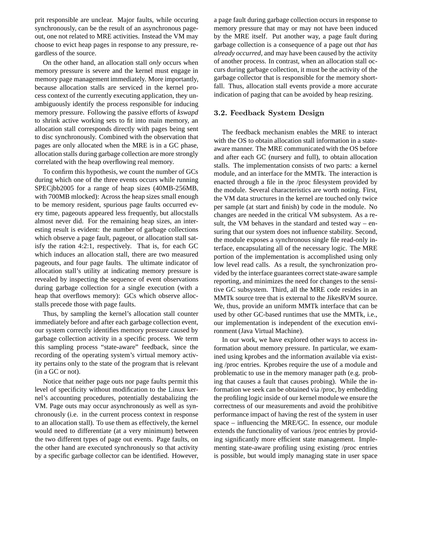prit responsible are unclear. Major faults, while occuring synchronously, can be the result of an asynchronous pageout, one not related to MRE activities. Instead the VM may choose to evict heap pages in response to any pressure, regardless of the source.

On the other hand, an allocation stall *only* occurs when memory pressure is severe and the kernel must engage in memory page management immediately. More importantly, because allocation stalls are serviced in the kernel process context of the currently executing application, they unambiguously identify the process responsible for inducing memory pressure. Following the passive efforts of *kswapd* to shrink active working sets to fit into main memory, an allocation stall corresponds directly with pages being sent to disc synchronously. Combined with the observation that pages are only allocated when the MRE is in a GC phase, allocation stalls during garbage collection are more strongly correlated with the heap overflowing real memory.

To confirm this hypothesis, we count the number of GCs during which one of the three events occurs while running SPECjbb2005 for a range of heap sizes (40MB-256MB, with 700MB mlocked): Across the heap sizes small enough to be memory resident, spurious page faults occurred every time, pageouts appeared less frequently, but allocstalls almost never did. For the remaining heap sizes, an interesting result is evident: the number of garbage collections which observe a page fault, pageout, or allocation stall satisfy the ration 4:2:1, respectively. That is, for each GC which induces an allocation stall, there are two measured pageouts, and four page faults. The ultimate indicator of allocation stall's utility at indicating memory pressure is revealed by inspecting the sequence of event observations during garbage collection for a single execution (with a heap that overflows memory): GCs which observe allocstalls precede those with page faults.

Thus, by sampling the kernel's allocation stall counter immediately before and after each garbage collection event, our system correctly identifies memory pressure caused by garbage collection activity in a specific process. We term this sampling process "state-aware" feedback, since the recording of the operating system's virtual memory activity pertains only to the state of the program that is relevant (in a GC or not).

Notice that neither page outs nor page faults permit this level of specificity without modification to the Linux kernel's accounting procedures, potentially destabalizing the VM. Page outs may occur asynchronously as well as synchronously (i.e. in the current process context in response to an allocation stall). To use them as effectively, the kernel would need to differentiate (at a very minimum) between the two different types of page out events. Page faults, on the other hand are executed synchronously so that activity by a specific garbage collector can be identified. However, a page fault during garbage collection occurs in response to memory pressure that may or may not have been induced by the MRE itself. Put another way, a page fault during garbage collection is a consequence of a page out *that has already occurred*, and may have been caused by the activity of another process. In contrast, when an allocation stall occurs during garbage collection, it must be the activity of the garbage collector that is responsible for the memory shortfall. Thus, allocation stall events provide a more accurate indication of paging that can be avoided by heap resizing.

#### 3.2. Feedback System Design

The feedback mechanism enables the MRE to interact with the OS to obtain allocation stall information in a stateaware manner. The MRE communicated with the OS before and after each GC (nursery and full), to obtain allocation stalls. The implementation consists of two parts: a kernel module, and an interface for the MMTk. The interaction is enacted through a file in the /proc filesystem provided by the module. Several characteristics are worth noting. First, the VM data structures in the kernel are touched only twice per sample (at start and finish) by code in the module. No changes are needed in the critical VM subsystem. As a result, the VM behaves in the standard and tested way – ensuring that our system does not influence stability. Second, the module exposes a synchronous single file read-only interface, encapsulating all of the necessary logic. The MRE portion of the implementation is accomplished using only low level read calls. As a result, the synchronization provided by the interface guarantees correct state-aware sample reporting, and minimizes the need for changes to the sensitive GC subsystem. Third, all the MRE code resides in an MMTk source tree that is external to the JikesRVM source. We, thus, provide an uniform MMTk interface that can be used by other GC-based runtimes that use the MMTk, i.e., our implementation is independent of the execution environment (Java Virtual Machine).

In our work, we have explored other ways to access information about memory pressure. In particular, we examined using kprobes and the information available via existing /proc entries. Kprobes require the use of a module and problematic to use in the memory manager path (e.g. probing that causes a fault that causes probing). While the information we seek can be obtained via /proc, by embedding the profiling logic inside of our kernel module we ensure the correctness of our measurements and avoid the prohibitive performance impact of having the rest of the system in user space – influencing the MRE/GC. In essence, our module extends the functionality of various /proc entries by providing significantly more efficient state management. Implementing state-aware profiling using existing /proc entries is possible, but would imply managing state in user space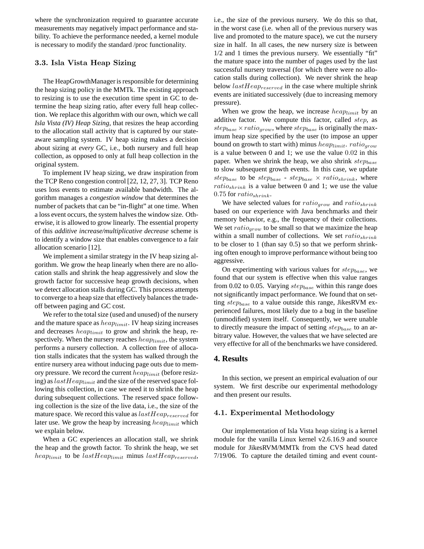where the synchronization required to guarantee accurate measurements may negatively impact performance and stability. To achieve the performance needed, a kernel module is necessary to modify the standard /proc functionality.

### 3.3. Isla Vista Heap Sizing

The HeapGrowthManager is responsible for determining the heap sizing policy in the MMTk. The existing approach to resizing is to use the execution time spent in GC to determine the heap sizing ratio, after every full heap collection. We replace this algorithm with our own, which we call *Isla Vista (IV) Heap Sizing*, that resizes the heap according to the allocation stall activity that is captured by our stateaware sampling system. IV heap sizing makes a decision about sizing at *every* GC, i.e., both nursery and full heap collection, as opposed to only at full heap collection in the original system.

To implement IV heap sizing, we draw inspiration from the TCP Reno congestion control [22, 12, 27, 3]. TCP Reno uses loss events to estimate available bandwidth. The algorithm manages a *congestion window* that determines the number of packets that can be "in-flight" at one time. When a loss event occurs, the system halves the window size. Otherwise, it is allowed to grow linearly. The essential property of this *additive increase/multiplicative decrease* scheme is to identify a window size that enables convergence to a fair allocation scenario [12].

We implement a similar strategy in the IV heap sizing algorithm. We grow the heap linearly when there are no allocation stalls and shrink the heap aggressively and slow the growth factor for successive heap growth decisions, when we detect allocation stalls during GC. This process attempts to converge to a heap size that effectively balances the tradeoff between paging and GC cost.

We refer to the total size (used and unused) of the nursery and the mature space as  $heap_{limit}$ . IV heap sizing increases and decreases  $heap_{limit}$  to grow and shrink the heap, respectively. When the nursery reaches  $heap_{limit}$ , the system performs a nursery collection. A collection free of allocation stalls indicates that the system has walked through the entire nursery area without inducing page outs due to memory pressure. We record the current  $heap_{limit}$  (before resizing) as  $lastHeap_{limit}$  and the size of the reserved space following this collection, in case we need it to shrink the heap during subsequent collections. The reserved space following collection is the size of the live data, i.e., the size of the mature space. We record this value as  $lastHeap_{reserved}$  for later use. We grow the heap by increasing  $heap<sub>limit</sub>$  which we explain below.

When a GC experiences an allocation stall, we shrink the heap and the growth factor. To shrink the heap, we set heap<sub>limit</sub> to be lastHeap<sub>limit</sub> minus lastHeap<sub>reserved</sub>,

i.e., the size of the previous nursery. We do this so that, in the worst case (i.e. when all of the previous nursery was live and promoted to the mature space), we cut the nursery size in half. In all cases, the new nursery size is between 1/2 and 1 times the previous nursery. We essentially "fit" the mature space into the number of pages used by the last successful nursery traversal (for which there were no allocation stalls during collection). We never shrink the heap below  $lastHeap_{reserved}$  in the case where multiple shrink events are initiated successively (due to increasing memory pressure).

When we grow the heap, we increase  $heap<sub>limit</sub>$  by an additive factor. We compute this factor, called step, as  $step_{base} \times ratio_{grow}$ , where  $step_{base}$  is originally the maximum heap size specified by the user (to impose an upper bound on growth to start with) minus  $heap_{limit}$ .  $ratio_{grow}$ is a value between 0 and 1; we use the value 0.02 in this paper. When we shrink the heap, we also shrink  $step_{base}$ to slow subsequent growth events. In this case, we update  $step_{base}$  to be  $step_{base}$  -  $step_{base}$   $\times$   $ratio_{shrink},$  where  $ratio_{shrink}$  is a value between 0 and 1; we use the value  $0.75$  for  $ratio_{shrink}$ .

We have selected values for  $ratio_{grow}$  and  $ratio_{shrink}$ based on our experience with Java benchmarks and their memory behavior, e.g., the frequency of their collections. We set  $ratio_{grow}$  to be small so that we maximize the heap within a small number of collections. We set  $ratio_{shrink}$ to be closer to 1 (than say 0.5) so that we perform shrinking often enough to improve performance without being too aggressive.

On experimenting with various values for  $step_{base}$ , we found that our system is effective when this value ranges from 0.02 to 0.05. Varying  $step_{base}$  within this range does not significantly impact performance. We found that on setting  $step_{base}$  to a value outside this range, JikesRVM experienced failures, most likely due to a bug in the baseline (unmodified) system itself. Consequently, we were unable to directly measure the impact of setting  $step_{base}$  to an arbitrary value. However, the values that we have selected are very effective for all of the benchmarks we have considered.

### **4. Results**

In this section, we present an empirical evaluation of our system. We first describe our experimental methodology and then present our results.

#### 4.1. Experimental Methodology

Our implementation of Isla Vista heap sizing is a kernel module for the vanilla Linux kernel v2.6.16.9 and source module for JikesRVM/MMTk from the CVS head dated 7/19/06. To capture the detailed timing and event count-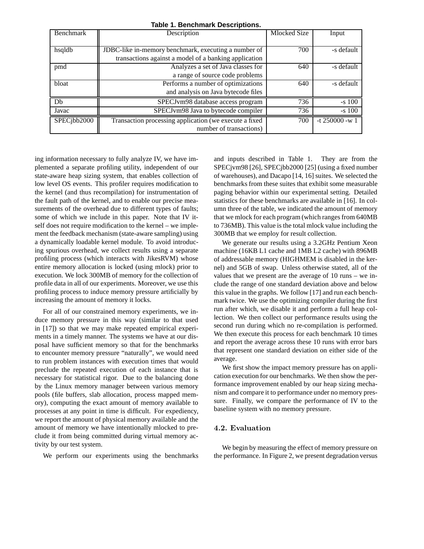**Table 1. Benchmark Descriptions.**

| Benchmark   | Description                                            | <b>Mlocked Size</b> | Input            |
|-------------|--------------------------------------------------------|---------------------|------------------|
|             |                                                        |                     |                  |
| hsqldb      | JDBC-like in-memory benchmark, executing a number of   | 700                 | -s default       |
|             | transactions against a model of a banking application  |                     |                  |
| pmd         | Analyzes a set of Java classes for                     | 640                 | -s default       |
|             | a range of source code problems                        |                     |                  |
| bloat       | Performs a number of optimizations                     | 640                 | -s default       |
|             | and analysis on Java bytecode files                    |                     |                  |
| Dh          | SPECJvm98 database access program                      | 736                 | $-s 100$         |
| Javac       | SPECJvm98 Java to bytecode compiler                    | 736                 | $-$ s 100        |
| SPECjbb2000 | Transaction processing application (we execute a fixed | 700                 | -t $250000$ -w 1 |
|             | number of transactions)                                |                     |                  |

ing information necessary to fully analyze IV, we have implemented a separate profiling utility, independent of our state-aware heap sizing system, that enables collection of low level OS events. This profiler requires modification to the kernel (and thus recompilation) for instrumentation of the fault path of the kernel, and to enable our precise measurements of the overhead due to different types of faults; some of which we include in this paper. Note that IV itself does not require modification to the kernel – we implement the feedback mechanism (state-aware sampling) using a dynamically loadable kernel module. To avoid introducing spurious overhead, we collect results using a separate profiling process (which interacts with JikesRVM) whose entire memory allocation is locked (using mlock) prior to execution. We lock 300MB of memory for the collection of profile data in all of our experiments. Moreover, we use this profiling process to induce memory pressure artificially by increasing the amount of memory it locks.

For all of our constrained memory experiments, we induce memory pressure in this way (similar to that used in [17]) so that we may make repeated empirical experiments in a timely manner. The systems we have at our disposal have sufficient memory so that for the benchmarks to encounter memory pressure "naturally", we would need to run problem instances with execution times that would preclude the repeated execution of each instance that is necessary for statistical rigor. Due to the balancing done by the Linux memory manager between various memory pools (file buffers, slab allocation, process mapped memory), computing the exact amount of memory available to processes at any point in time is difficult. For expediency, we report the amount of physical memory available and the amount of memory we have intentionally mlocked to preclude it from being committed during virtual memory activity by our test system.

We perform our experiments using the benchmarks

and inputs described in Table 1. They are from the SPECjvm98 [26], SPECjbb2000 [25] (using a fixed number of warehouses), and Dacapo [14, 16] suites. We selected the benchmarks from these suites that exhibit some measurable paging behavior within our experimental setting. Detailed statistics for these benchmarks are available in [16]. In column three of the table, we indicated the amount of memory that we mlock for each program (which ranges from 640MB to 736MB). This value is the total mlock value including the 300MB that we employ for result collection.

We generate our results using a 3.2GHz Pentium Xeon machine (16KB L1 cache and 1MB L2 cache) with 896MB of addressable memory (HIGHMEM is disabled in the kernel) and 5GB of swap. Unless otherwise stated, all of the values that we present are the average of 10 runs – we include the range of one standard deviation above and below this value in the graphs. We follow [17] and run each benchmark twice. We use the optimizing compiler during the first run after which, we disable it and perform a full heap collection. We then collect our performance results using the second run during which no re-compilation is performed. We then execute this process for each benchmark 10 times and report the average across these 10 runs with error bars that represent one standard deviation on either side of the average.

We first show the impact memory pressure has on application execution for our benchmarks. We then show the performance improvement enabled by our heap sizing mechanism and compare it to performance under no memory pressure. Finally, we compare the performance of IV to the baseline system with no memory pressure.

### 4.2. Evaluation

We begin by measuring the effect of memory pressure on the performance. In Figure 2, we present degradation versus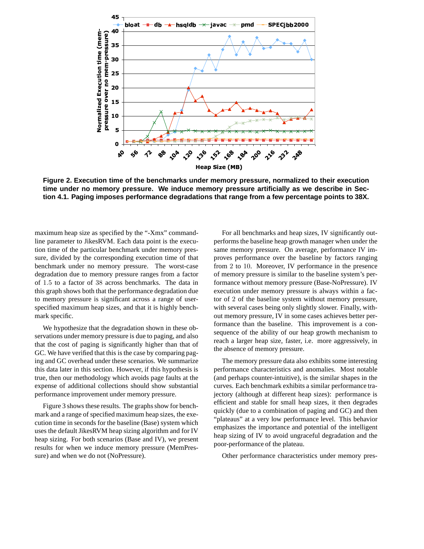

**Figure 2. Execution time of the benchmarks under memory pressure, normalized to their execution time under no memory pressure. We induce memory pressure artificially as we describe in Section 4.1. Paging imposes performance degradations that range from a few percentage points to 38X.**

maximum heap size as specified by the "-Xmx" commandline parameter to JikesRVM. Each data point is the execution time of the particular benchmark under memory pressure, divided by the corresponding execution time of that benchmark under no memory pressure. The worst-case degradation due to memory pressure ranges from a factor of 1.5 to a factor of 38 across benchmarks. The data in this graph shows both that the performance degradation due to memory pressure is significant across a range of userspecified maximum heap sizes, and that it is highly benchmark specific.

We hypothesize that the degradation shown in these observations under memory pressure is due to paging, and also that the cost of paging is significantly higher than that of GC. We have verified that this is the case by comparing paging and GC overhead under these scenarios. We summarize this data later in this section. However, if this hypothesis is true, then our methodology which avoids page faults at the expense of additional collections should show substantial performance improvement under memory pressure.

Figure 3 shows these results. The graphs show for benchmark and a range of specified maximum heap sizes, the execution time in seconds for the baseline (Base) system which uses the default JikesRVM heap sizing algorithm and for IV heap sizing. For both scenarios (Base and IV), we present results for when we induce memory pressure (MemPressure) and when we do not (NoPressure).

For all benchmarks and heap sizes, IV significantly outperforms the baseline heap growth manager when under the same memory pressure. On average, performance IV improves performance over the baseline by factors ranging from 2 to 10. Moreover, IV performance in the presence of memory pressure is similar to the baseline system's performance without memory pressure (Base-NoPressure). IV execution under memory pressure is always within a factor of 2 of the baseline system without memory pressure, with several cases being only slightly slower. Finally, without memory pressure, IV in some cases achieves better performance than the baseline. This improvement is a consequence of the ability of our heap growth mechanism to reach a larger heap size, faster, i.e. more aggressively, in the absence of memory pressure.

The memory pressure data also exhibits some interesting performance characteristics and anomalies. Most notable (and perhaps counter-intuitive), is the similar shapes in the curves. Each benchmark exhibits a similar performance trajectory (although at different heap sizes): performance is efficient and stable for small heap sizes, it then degrades quickly (due to a combination of paging and GC) and then "plateaus" at a very low performance level. This behavior emphasizes the importance and potential of the intelligent heap sizing of IV to avoid ungraceful degradation and the poor-performance of the plateau.

Other performance characteristics under memory pres-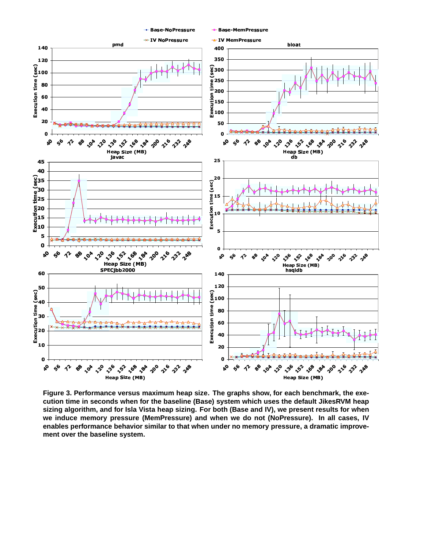

**Figure 3. Performance versus maximum heap size. The graphs show, for each benchmark, the execution time in seconds when for the baseline (Base) system which uses the default JikesRVM heap sizing algorithm, and for Isla Vista heap sizing. For both (Base and IV), we present results for when we induce memory pressure (MemPressure) and when we do not (NoPressure). In all cases, IV enables performance behavior similar to that when under no memory pressure, a dramatic improvement over the baseline system.**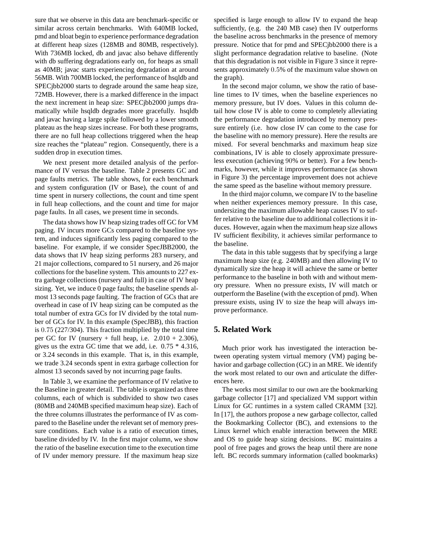sure that we observe in this data are benchmark-specific or similar across certain benchmarks. With 640MB locked, pmd and bloat begin to experience performance degradation at different heap sizes (128MB and 80MB, respectively). With 736MB locked, db and javac also behave differently with db suffering degradations early on, for heaps as small as 40MB; javac starts experiencing degradation at around 56MB. With 700MB locked, the performance of hsqldb and SPECjbb2000 starts to degrade around the same heap size, 72MB. However, there is a marked difference in the impact the next increment in heap size: SPECjbb2000 jumps dramatically while hsqldb degrades more gracefully. hsqldb and javac having a large spike followed by a lower smooth plateau as the heap sizes increase. For both these programs, there are no full heap collections triggered when the heap size reaches the "plateau" region. Consequently, there is a sudden drop in execution times.

We next present more detailed analysis of the performance of IV versus the baseline. Table 2 presents GC and page faults metrics. The table shows, for each benchmark and system configuration (IV or Base), the count of and time spent in nursery collections, the count and time spent in full heap collections, and the count and time for major page faults. In all cases, we present time in seconds.

The data shows how IV heap sizing trades off GC for VM paging. IV incurs more GCs compared to the baseline system, and induces significantly less paging compared to the baseline. For example, if we consider SpecJBB2000, the data shows that IV heap sizing performs 283 nursery, and 21 major collections, compared to 51 nursery, and 26 major collections for the baseline system. This amounts to 227 extra garbage collections (nursery and full) in case of IV heap sizing. Yet, we induce 0 page faults; the baseline spends almost 13 seconds page faulting. The fraction of GCs that are overhead in case of IV heap sizing can be computed as the total number of extra GCs for IV divided by the total number of GCs for IV. In this example (SpecJBB), this fraction is 0.75 (227/304). This fraction multiplied by the total time per GC for IV (nursery  $+$  full heap, i.e.  $2.010 + 2.306$ ), gives us the extra GC time that we add, i.e. 0.75 \* 4.316, or 3.24 seconds in this example. That is, in this example, we trade 3.24 seconds spent in extra garbage collection for almost 13 seconds saved by not incurring page faults.

In Table 3, we examine the performance of IV relative to the Baseline in greater detail. The table is organized as three columns, each of which is subdivided to show two cases (80MB and 240MB specified maximum heap size). Each of the three columns illustrates the performance of IV as compared to the Baseline under the relevant set of memory pressure conditions. Each value is a ratio of execution times, baseline divided by IV. In the first major column, we show the ratio of the baseline execution time to the execution time of IV under memory pressure. If the maximum heap size

specified is large enough to allow IV to expand the heap sufficiently, (e.g. the 240 MB case) then IV outperforms the baseline across benchmarks in the presence of memory pressure. Notice that for pmd and SPECjbb2000 there is a slight performance degradation relative to baseline. (Note that this degradation is not visible in Figure 3 since it represents approximately 0.5% of the maximum value shown on the graph).

In the second major column, we show the ratio of baseline times to IV times, when the baseline experiences no memory pressure, but IV does. Values in this column detail how close IV is able to come to completely alleviating the performance degradation introduced by memory pressure entirely (i.e. how close IV can come to the case for the baseline with no memory pressure). Here the results are mixed. For several benchmarks and maximum heap size combinations, IV is able to closely approximate pressureless execution (achieving 90% or better). For a few benchmarks, however, while it improves performance (as shown in Figure 3) the percentage improvement does not achieve the same speed as the baseline without memory pressure.

In the third major column, we compare IV to the baseline when neither experiences memory pressure. In this case, undersizing the maximum allowable heap causes IV to suffer relative to the baseline due to additional collections it induces. However, again when the maximum heap size allows IV sufficient flexibility, it achieves similar performance to the baseline.

The data in this table suggests that by specifying a large maximum heap size (e.g. 240MB) and then allowing IV to dynamically size the heap it will achieve the same or better performance to the baseline in both with and without memory pressure. When no pressure exists, IV will match or outperform the Baseline (with the exception of pmd). When pressure exists, using IV to size the heap will always improve performance.

## **5. Related Work**

Much prior work has investigated the interaction between operating system virtual memory (VM) paging behavior and garbage collection (GC) in an MRE. We identify the work most related to our own and articulate the differences here.

The works most similar to our own are the bookmarking garbage collector [17] and specialized VM support within Linux for GC runtimes in a system called CRAMM [32]. In [17], the authors propose a new garbage collector, called the Bookmarking Collector (BC), and extensions to the Linux kernel which enable interaction between the MRE and OS to guide heap sizing decisions. BC maintains a pool of free pages and grows the heap until there are none left. BC records summary information (called bookmarks)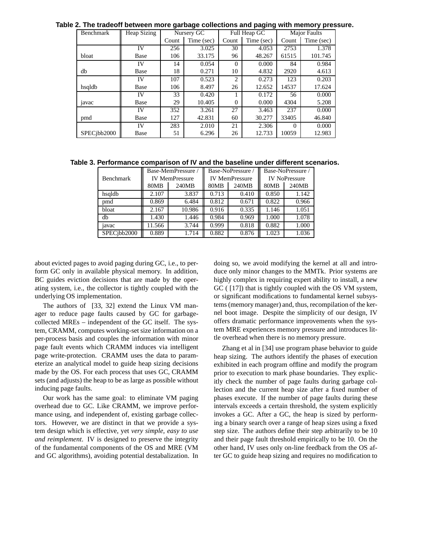| 2. The made in between more garbage concentris and paging with memory pres |             |            |            |              |            |                     |            |
|----------------------------------------------------------------------------|-------------|------------|------------|--------------|------------|---------------------|------------|
| Benchmark                                                                  | Heap Sizing | Nursery GC |            | Full Heap GC |            | <b>Major Faults</b> |            |
|                                                                            |             | Count      | Time (sec) | Count        | Time (sec) | Count               | Time (sec) |
|                                                                            | IV          | 256        | 3.025      | 30           | 4.053      | 2753                | 1.378      |
| bloat                                                                      | Base        | 106        | 33.175     | 96           | 48.267     | 61515               | 101.745    |
|                                                                            | IV          | 14         | 0.054      | $\Omega$     | 0.000      | 84                  | 0.984      |
| db                                                                         | Base        | 18         | 0.271      | 10           | 4.832      | 2920                | 4.613      |
|                                                                            | IV          | 107        | 0.523      | 2            | 0.273      | 123                 | 0.203      |
| hsqldb                                                                     | Base        | 106        | 8.497      | 26           | 12.652     | 14537               | 17.624     |
|                                                                            | IV          | 33         | 0.420      |              | 0.172      | 56                  | 0.000      |
| javac                                                                      | Base        | 29         | 10.405     | $\mathbf{0}$ | 0.000      | 4304                | 5.208      |
|                                                                            | IV          | 352        | 3.261      | 27           | 3.463      | 237                 | 0.000      |
| pmd                                                                        | Base        | 127        | 42.831     | 60           | 30.277     | 33405               | 46.840     |
|                                                                            | IV          | 283        | 2.010      | 21           | 2.306      | $\Omega$            | 0.000      |
| SPECibb2000                                                                | Base        | 51         | 6.296      | 26           | 12.733     | 10059               | 12.983     |

**Table 2. The tradeoff between more garbage collections and paging with memory pressure.**

**Table 3. Performance comparison of IV and the baseline under different scenarios.**

|                  | Base-MemPressure /    |        | Base-NoPressure /     |       | Base-NoPressure /    |       |
|------------------|-----------------------|--------|-----------------------|-------|----------------------|-------|
| <b>Benchmark</b> | <b>IV MemPressure</b> |        | <b>IV MemPressure</b> |       | <b>IV NoPressure</b> |       |
|                  | 80MB                  | 240MB  | <b>80MB</b>           | 240MB | <b>80MB</b>          | 240MB |
| hsqldb           | 2.107                 | 3.837  | 0.713                 | 0.410 | 0.850                | 1.142 |
| pmd              | 0.869                 | 6.484  | 0.812                 | 0.671 | 0.822                | 0.966 |
| bloat            | 2.167                 | 10.986 | 0.916                 | 0.335 | 1.146                | 1.051 |
| db               | 1.430                 | 1.446  | 0.984                 | 0.969 | 1.000                | 1.078 |
| javac            | 11.566                | 3.744  | 0.999                 | 0.818 | 0.882                | 1.000 |
| SPECibb2000      | 0.889                 | 1.714  | 0.882                 | 0.876 | 1.023                | 1.036 |

about evicted pages to avoid paging during GC, i.e., to perform GC only in available physical memory. In addition, BC guides eviction decisions that are made by the operating system, i.e., the collector is tightly coupled with the underlying OS implementation.

The authors of [33, 32] extend the Linux VM manager to reduce page faults caused by GC for garbagecollected MREs – independent of the GC itself. The system, CRAMM, computes working-set size information on a per-process basis and couples the information with minor page fault events which CRAMM induces via intelligent page write-protection. CRAMM uses the data to parameterize an analytical model to guide heap sizing decisions made by the OS. For each process that uses GC, CRAMM sets (and adjusts) the heap to be as large as possible without inducing page faults.

Our work has the same goal: to eliminate VM paging overhead due to GC. Like CRAMM, we improve performance using, and independent of, existing garbage collectors. However, we are distinct in that we provide a system design which is effective, yet *very simple, easy to use and reimplement*. IV is designed to preserve the integrity of the fundamental components of the OS and MRE (VM and GC algorithms), avoiding potential destabalization. In

doing so, we avoid modifying the kernel at all and introduce only minor changes to the MMTk. Prior systems are highly complex in requiring expert ability to install, a new GC ( $[17]$ ) that is tightly coupled with the OS VM system, or significant modifications to fundamental kernel subsystems (memory manager) and, thus, recompilation of the kernel boot image. Despite the simplicity of our design, IV offers dramatic performance improvements when the system MRE experiences memory pressure and introduces little overhead when there is no memory pressure.

Zhang et al in [34] use program phase behavior to guide heap sizing. The authors identify the phases of execution exhibited in each program offline and modify the program prior to execution to mark phase boundaries. They explicitly check the number of page faults during garbage collection and the current heap size after a fixed number of phases execute. If the number of page faults during these intervals exceeds a certain threshold, the system explicitly invokes a GC. After a GC, the heap is sized by performing a binary search over a range of heap sizes using a fixed step size. The authors define their step arbitrarily to be 10 and their page fault threshold empirically to be 10. On the other hand, IV uses only on-line feedback from the OS after GC to guide heap sizing and requires no modification to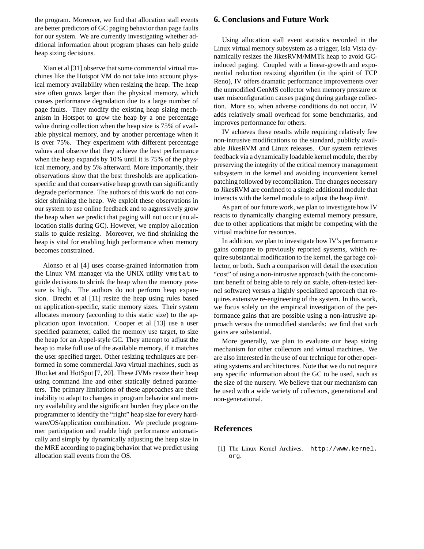the program. Moreover, we find that allocation stall events are better predictors of GC paging behavior than page faults for our system. We are currently investigating whether additional information about program phases can help guide heap sizing decisions.

Xian et al [31] observe that some commercial virtual machines like the Hotspot VM do not take into account physical memory availability when resizing the heap. The heap size often grows larger than the physical memory, which causes performance degradation due to a large number of page faults. They modify the existing heap sizing mechanism in Hotspot to grow the heap by a one percentage value during collection when the heap size is 75% of available physical memory, and by another percentage when it is over 75%. They experiment with different percentage values and observe that they achieve the best performance when the heap expands by 10% until it is 75% of the physical memory, and by 5% afterward. More importantly, their observations show that the best thresholds are applicationspecific and that conservative heap growth can significantly degrade performance. The authors of this work do not consider shrinking the heap. We exploit these observations in our system to use online feedback and to aggressively grow the heap when we predict that paging will not occur (no allocation stalls during GC). However, we employ allocation stalls to guide resizing. Moreover, we find shrinking the heap is vital for enabling high performance when memory becomes constrained.

Alonso et al [4] uses coarse-grained information from the Linux VM manager via the UNIX utility vmstat to guide decisions to shrink the heap when the memory pressure is high. The authors do not perform heap expansion. Brecht et al [11] resize the heap using rules based on application-specific, static memory sizes. Their system allocates memory (according to this static size) to the application upon invocation. Cooper et al [13] use a user specified parameter, called the memory use target, to size the heap for an Appel-style GC. They attempt to adjust the heap to make full use of the available memory, if it matches the user specified target. Other resizing techniques are performed in some commercial Java virtual machines, such as JRocket and HotSpot [7, 20]. These JVMs resize their heap using command line and other statically defined parameters. The primary limitations of these approaches are their inability to adapt to changes in program behavior and memory availability and the significant burden they place on the programmer to identify the "right" heap size for every hardware/OS/application combination. We preclude programmer participation and enable high performance automatically and simply by dynamically adjusting the heap size in the MRE according to paging behavior that we predict using allocation stall events from the OS.

### **6. Conclusions and Future Work**

Using allocation stall event statistics recorded in the Linux virtual memory subsystem as a trigger, Isla Vista dynamically resizes the JikesRVM/MMTk heap to avoid GCinduced paging. Coupled with a linear-growth and exponential reduction resizing algorithm (in the spirit of TCP Reno), IV offers dramatic performance improvements over the unmodified GenMS collector when memory pressure or user misconfiguration causes paging during garbage collection. More so, when adverse conditions do not occur, IV adds relatively small overhead for some benchmarks, and improves performance for others.

IV achieves these results while requiring relatively few non-intrusive modifications to the standard, publicly available JikesRVM and Linux releases. Our system retrieves feedback via a dynamically loadable kernel module, thereby preserving the integrity of the critical memory management subsystem in the kernel and avoiding inconvenient kernel patching followed by recompilation. The changes necessary to JikesRVM are confined to a single additional module that interacts with the kernel module to adjust the heap *limit*.

As part of our future work, we plan to investigate how IV reacts to dynamically changing external memory pressure, due to other applications that might be competing with the virtual machine for resources.

In addition, we plan to investigate how IV's performance gains compare to previously reported systems, which require substantial modification to the kernel, the garbage collector, or both. Such a comparison will detail the execution "cost" of using a non-intrusive approach (with the concomitant benefit of being able to rely on stable, often-tested kernel software) versus a highly specialized approach that requires extensive re-engineering of the system. In this work, we focus solely on the empirical investigation of the performance gains that are possible using a non-intrusive approach versus the unmodified standards: we find that such gains are substantial.

More generally, we plan to evaluate our heap sizing mechanism for other collectors and virtual machines. We are also interested in the use of our technique for other operating systems and architectures. Note that we do not require any specific information about the GC to be used, such as the size of the nursery. We believe that our mechanism can be used with a wide variety of collectors, generational and non-generational.

### **References**

[1] The Linux Kernel Archives. http://www.kernel. org.